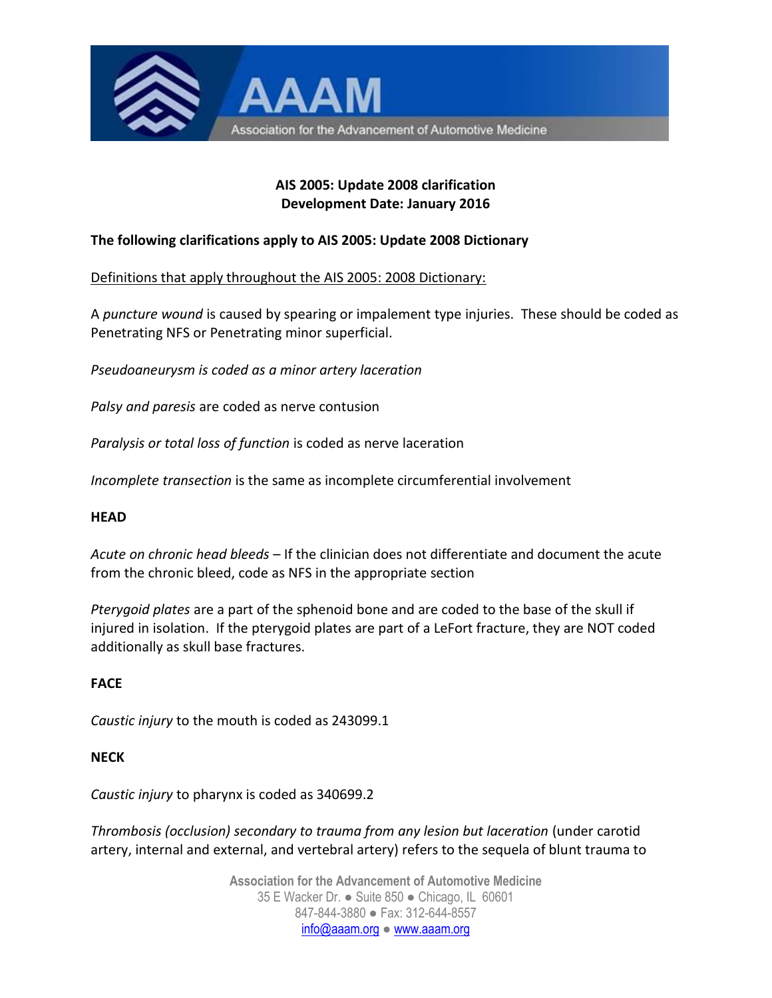

# **AIS 2005: Update 2008 clarification Development Date: January 2016**

# **The following clarifications apply to AIS 2005: Update 2008 Dictionary**

Definitions that apply throughout the AIS 2005: 2008 Dictionary:

A *puncture wound* is caused by spearing or impalement type injuries. These should be coded as Penetrating NFS or Penetrating minor superficial.

*Pseudoaneurysm is coded as a minor artery laceration*

*Palsy and paresis* are coded as nerve contusion

*Paralysis or total loss of function* is coded as nerve laceration

*Incomplete transection* is the same as incomplete circumferential involvement

## **HEAD**

*Acute on chronic head bleeds* – If the clinician does not differentiate and document the acute from the chronic bleed, code as NFS in the appropriate section

*Pterygoid plates* are a part of the sphenoid bone and are coded to the base of the skull if injured in isolation. If the pterygoid plates are part of a LeFort fracture, they are NOT coded additionally as skull base fractures.

## **FACE**

*Caustic injury* to the mouth is coded as 243099.1

## **NECK**

*Caustic injury* to pharynx is coded as 340699.2

*Thrombosis (occlusion) secondary to trauma from any lesion but laceration* (under carotid artery, internal and external, and vertebral artery) refers to the sequela of blunt trauma to

> **Association for the Advancement of Automotive Medicine** 35 E Wacker Dr. ● Suite 850 ● Chicago, IL 60601 847-844-3880 ● Fax: 312-644-8557 [info@aaam.org](mailto:info@aaam.org) ● www.aaam.org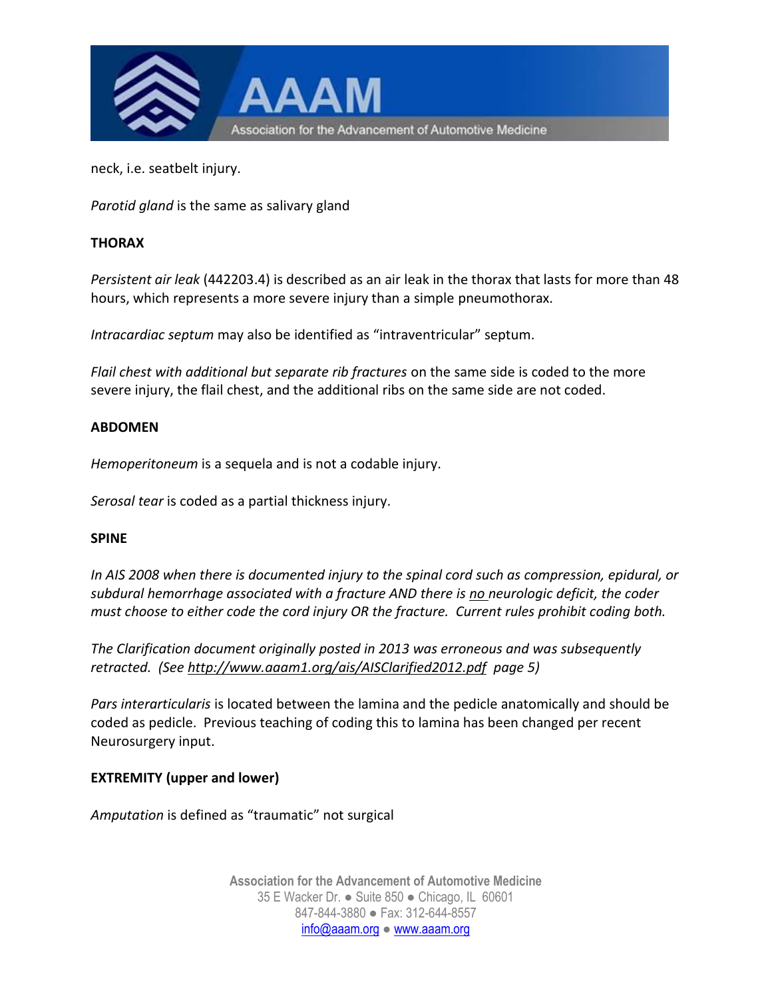

neck, i.e. seatbelt injury.

*Parotid gland* is the same as salivary gland

# **THORAX**

*Persistent air leak* (442203.4) is described as an air leak in the thorax that lasts for more than 48 hours, which represents a more severe injury than a simple pneumothorax.

*Intracardiac septum* may also be identified as "intraventricular" septum.

*Flail chest with additional but separate rib fractures* on the same side is coded to the more severe injury, the flail chest, and the additional ribs on the same side are not coded.

# **ABDOMEN**

*Hemoperitoneum* is a sequela and is not a codable injury.

*Serosal tear* is coded as a partial thickness injury.

## **SPINE**

*In AIS 2008 when there is documented injury to the spinal cord such as compression, epidural, or subdural hemorrhage associated with a fracture AND there is no neurologic deficit, the coder must choose to either code the cord injury OR the fracture. Current rules prohibit coding both.* 

*The Clarification document originally posted in 2013 was erroneous and was subsequently retracted. (Se[e http://www.aaam1.org/ais/AISClarified2012.pdf](http://www.aaam1.org/ais/AISClarified2012.pdf) page 5)*

*Pars interarticularis* is located between the lamina and the pedicle anatomically and should be coded as pedicle. Previous teaching of coding this to lamina has been changed per recent Neurosurgery input.

## **EXTREMITY (upper and lower)**

*Amputation* is defined as "traumatic" not surgical

**Association for the Advancement of Automotive Medicine** 35 E Wacker Dr. ● Suite 850 ● Chicago, IL 60601 847-844-3880 ● Fax: 312-644-8557 [info@aaam.org](mailto:info@aaam.org) ● www.aaam.org